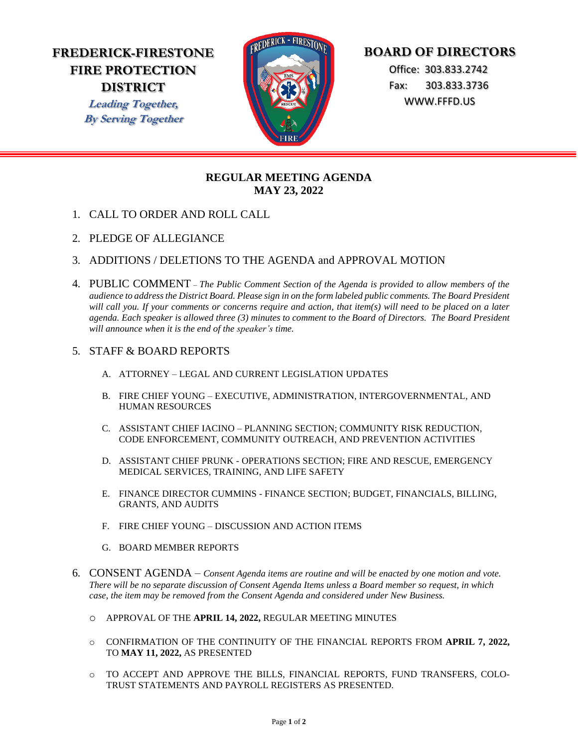# **FREDERICK-FIRESTONE FIRE PROTECTION DISTRICT**

**Leading Together, By Serving Together**



# **BOARD OF DIRECTORS**

 Office: 303.833.2742 Fax: 303.833.3736 WWW.FFFD.US

## **REGULAR MEETING AGENDA MAY 23, 2022**

- 1. CALL TO ORDER AND ROLL CALL
- 2. PLEDGE OF ALLEGIANCE
- 3. ADDITIONS / DELETIONS TO THE AGENDA and APPROVAL MOTION
- 4. PUBLIC COMMENT *The Public Comment Section of the Agenda is provided to allow members of the audience to address the District Board. Please sign in on the form labeled public comments. The Board President will call you. If your comments or concerns require and action, that item(s) will need to be placed on a later agenda. Each speaker is allowed three (3) minutes to comment to the Board of Directors. The Board President will announce when it is the end of the speaker's time.*

## 5. STAFF & BOARD REPORTS

- A. ATTORNEY LEGAL AND CURRENT LEGISLATION UPDATES
- B. FIRE CHIEF YOUNG EXECUTIVE, ADMINISTRATION, INTERGOVERNMENTAL, AND HUMAN RESOURCES
- C. ASSISTANT CHIEF IACINO PLANNING SECTION; COMMUNITY RISK REDUCTION, CODE ENFORCEMENT, COMMUNITY OUTREACH, AND PREVENTION ACTIVITIES
- D. ASSISTANT CHIEF PRUNK OPERATIONS SECTION; FIRE AND RESCUE, EMERGENCY MEDICAL SERVICES, TRAINING, AND LIFE SAFETY
- E. FINANCE DIRECTOR CUMMINS FINANCE SECTION; BUDGET, FINANCIALS, BILLING, GRANTS, AND AUDITS
- F. FIRE CHIEF YOUNG DISCUSSION AND ACTION ITEMS
- G. BOARD MEMBER REPORTS
- 6. CONSENT AGENDA *Consent Agenda items are routine and will be enacted by one motion and vote. There will be no separate discussion of Consent Agenda Items unless a Board member so request, in which case, the item may be removed from the Consent Agenda and considered under New Business.* 
	- o APPROVAL OF THE **APRIL 14, 2022,** REGULAR MEETING MINUTES
	- o CONFIRMATION OF THE CONTINUITY OF THE FINANCIAL REPORTS FROM **APRIL 7, 2022,** TO **MAY 11, 2022,** AS PRESENTED
	- o TO ACCEPT AND APPROVE THE BILLS, FINANCIAL REPORTS, FUND TRANSFERS, COLO-TRUST STATEMENTS AND PAYROLL REGISTERS AS PRESENTED.